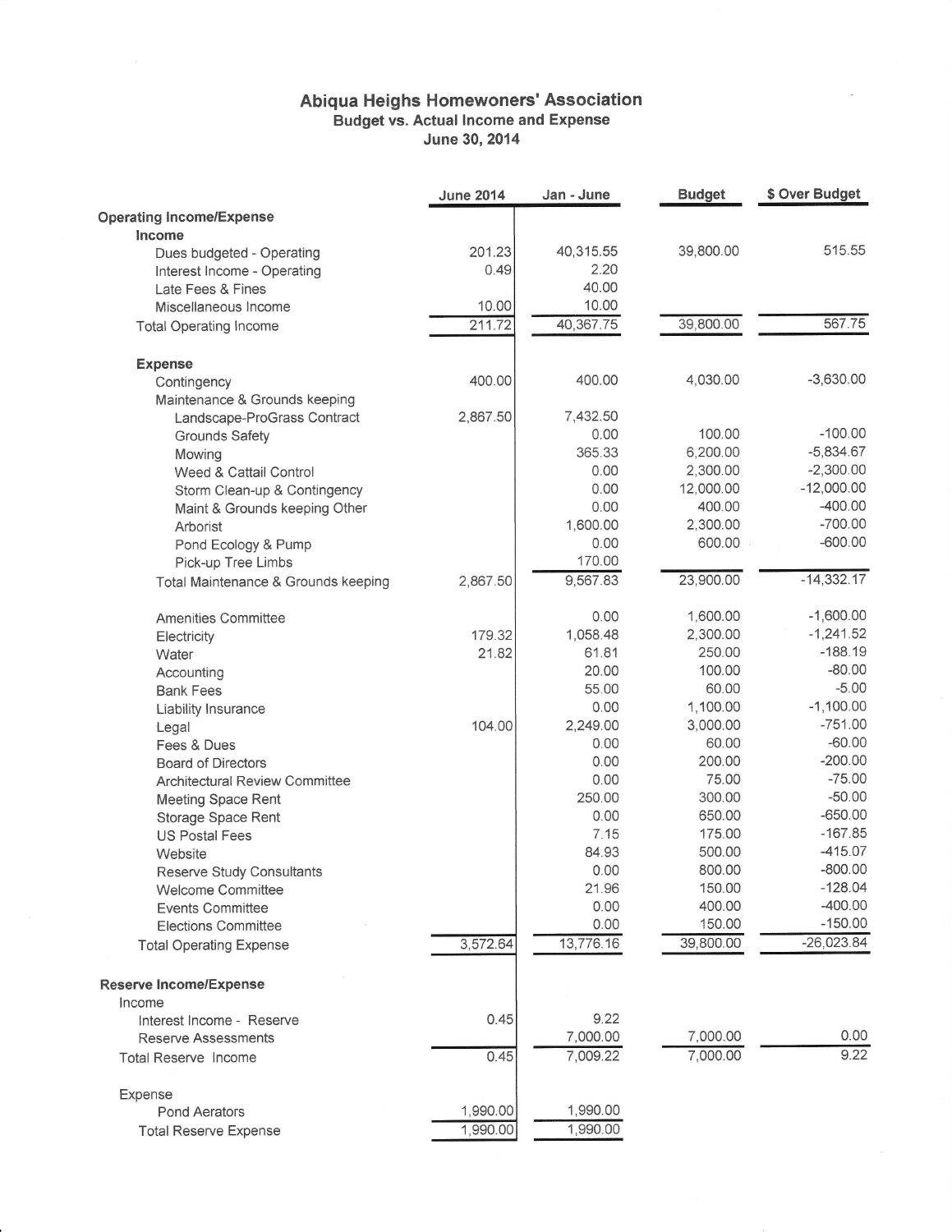## Abiqua Heighs Homewoners' Association<br>Budget vs. Actual Income and Expense<br>June 30, 2014

|                                       | <b>June 2014</b> | Jan - June | <b>Budget</b> | \$ Over Budget |
|---------------------------------------|------------------|------------|---------------|----------------|
| <b>Operating Income/Expense</b>       |                  |            |               |                |
| Income                                |                  |            |               |                |
| Dues budgeted - Operating             | 201.23           | 40,315.55  | 39,800.00     | 515.55         |
| Interest Income - Operating           | 0.49             | 2.20       |               |                |
| Late Fees & Fines                     |                  | 40.00      |               |                |
| Miscellaneous Income                  | 10.00            | 10.00      |               |                |
| <b>Total Operating Income</b>         | 211.72           | 40,367.75  | 39,800.00     | 567.75         |
| <b>Expense</b>                        |                  |            |               |                |
| Contingency                           | 400.00           | 400.00     | 4,030.00      | $-3,630.00$    |
| Maintenance & Grounds keeping         |                  |            |               |                |
| Landscape-ProGrass Contract           | 2,867.50         | 7,432.50   |               |                |
| Grounds Safety                        |                  | 0.00       | 100.00        | $-100.00$      |
| Mowing                                |                  | 365.33     | 6,200.00      | $-5,834.67$    |
| Weed & Cattail Control                |                  | 0.00       | 2,300.00      | $-2,300.00$    |
| Storm Clean-up & Contingency          |                  | 0.00       | 12,000.00     | $-12,000.00$   |
| Maint & Grounds keeping Other         |                  | 0.00       | 400.00        | $-400.00$      |
| Arborist                              |                  | 1,600.00   | 2,300.00      | $-700.00$      |
| Pond Ecology & Pump                   |                  | 0.00       | 600.00        | $-600.00$      |
| Pick-up Tree Limbs                    |                  | 170.00     |               |                |
| Total Maintenance & Grounds keeping   | 2,867.50         | 9,567.83   | 23,900.00     | $-14,332.17$   |
| Amenities Committee                   |                  | 0.00       | 1,600.00      | $-1,600.00$    |
| Electricity                           | 179.32           | 1,058.48   | 2,300.00      | $-1,241.52$    |
| Water                                 | 21.82            | 61.81      | 250.00        | $-188.19$      |
| Accounting                            |                  | 20.00      | 100.00        | $-80.00$       |
| <b>Bank Fees</b>                      |                  | 55.00      | 60.00         | $-5.00$        |
| Liability Insurance                   |                  | 0.00       | 1,100.00      | $-1,100.00$    |
| Legal                                 | 104.00           | 2,249.00   | 3,000.00      | $-751.00$      |
| Fees & Dues                           |                  | 0.00       | 60.00         | $-60.00$       |
| <b>Board of Directors</b>             |                  | 0.00       | 200.00        | $-200.00$      |
| <b>Architectural Review Committee</b> |                  | 0.00       | 75.00         | $-75.00$       |
| <b>Meeting Space Rent</b>             |                  | 250.00     | 300.00        | $-50.00$       |
| Storage Space Rent                    |                  | 0.00       | 650.00        | $-650.00$      |
| <b>US Postal Fees</b>                 |                  | 7.15       | 175.00        | $-167.85$      |
| Website                               |                  | 84.93      | 500.00        | $-415.07$      |
| <b>Reserve Study Consultants</b>      |                  | 0.00       | 800.00        | $-800.00$      |
| <b>Welcome Committee</b>              |                  | 21.96      | 150.00        | $-128.04$      |
| <b>Events Committee</b>               |                  | 0.00       | 400.00        | $-400.00$      |
| <b>Elections Committee</b>            |                  | 0.00       | 150.00        | $-150.00$      |
| <b>Total Operating Expense</b>        | 3,572.64         | 13,776.16  | 39,800.00     | $-26,023.84$   |
| <b>Reserve Income/Expense</b>         |                  |            |               |                |
| Income                                |                  |            |               |                |
| Interest Income - Reserve             | 0.45             | 9.22       |               |                |
| <b>Reserve Assessments</b>            |                  | 7,000.00   | 7,000.00      | 0.00           |
| <b>Total Reserve Income</b>           | 0.45             | 7,009.22   | 7,000.00      | 9.22           |
| Expense                               |                  |            |               |                |
| <b>Pond Aerators</b>                  | 1,990.00         | 1,990.00   |               |                |
| <b>Total Reserve Expense</b>          | 1,990.00         | 1,990.00   |               |                |